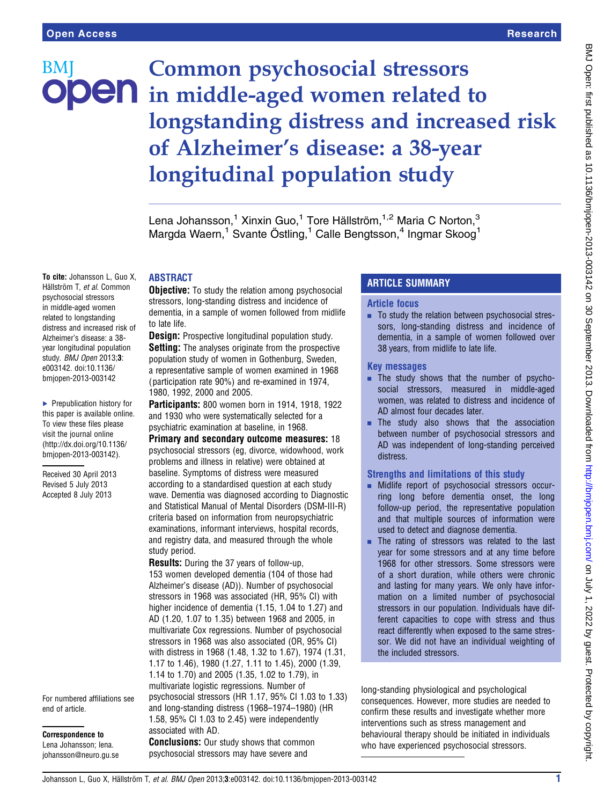# Common psychosocial stressors BM ODEN in middle-aged women related to longstanding distress and increased risk of Alzheimer's disease: a 38-year longitudinal population study

Lena Johansson,<sup>1</sup> Xinxin Guo,<sup>1</sup> Tore Hällström,<sup>1,2</sup> Maria C Norton,<sup>3</sup> Margda Waern,<sup>1</sup> Svante Östling,<sup>1</sup> Calle Bengtsson,<sup>4</sup> Ingmar Skoog<sup>1</sup>

### ABSTRACT

To cite: Johansson L, Guo X, Hällström T, et al. Common psychosocial stressors in middle-aged women related to longstanding distress and increased risk of Alzheimer's disease: a 38 year longitudinal population study. *BMJ Open* 2013;3: e003142. doi:10.1136/ bmjopen-2013-003142

▶ Prepublication history for this paper is available online. To view these files please visit the journal online [\(http://dx.doi.org/10.1136/](http://dx.doi.org/10.1136/bmjopen-2013-003142) [bmjopen-2013-003142](http://dx.doi.org/10.1136/bmjopen-2013-003142)).

Received 30 April 2013 Revised 5 July 2013 Accepted 8 July 2013

#### For numbered affiliations see end of article.

Correspondence to Lena Johansson; lena. johansson@neuro.gu.se

**Objective:** To study the relation among psychosocial stressors, long-standing distress and incidence of dementia, in a sample of women followed from midlife to late life.

**Design:** Prospective longitudinal population study. **Setting:** The analyses originate from the prospective population study of women in Gothenburg, Sweden, a representative sample of women examined in 1968 ( participation rate 90%) and re-examined in 1974, 1980, 1992, 2000 and 2005.

Participants: 800 women born in 1914, 1918, 1922 and 1930 who were systematically selected for a psychiatric examination at baseline, in 1968.

Primary and secondary outcome measures: 18 psychosocial stressors (eg, divorce, widowhood, work problems and illness in relative) were obtained at baseline. Symptoms of distress were measured according to a standardised question at each study wave. Dementia was diagnosed according to Diagnostic and Statistical Manual of Mental Disorders (DSM-III-R) criteria based on information from neuropsychiatric examinations, informant interviews, hospital records, and registry data, and measured through the whole study period.

Results: During the 37 years of follow-up, 153 women developed dementia (104 of those had Alzheimer's disease (AD)). Number of psychosocial stressors in 1968 was associated (HR, 95% CI) with higher incidence of dementia (1.15, 1.04 to 1.27) and AD (1.20, 1.07 to 1.35) between 1968 and 2005, in multivariate Cox regressions. Number of psychosocial stressors in 1968 was also associated (OR, 95% CI) with distress in 1968 (1.48, 1.32 to 1.67), 1974 (1.31, 1.17 to 1.46), 1980 (1.27, 1.11 to 1.45), 2000 (1.39, 1.14 to 1.70) and 2005 (1.35, 1.02 to 1.79), in multivariate logistic regressions. Number of psychosocial stressors (HR 1.17, 95% CI 1.03 to 1.33) and long-standing distress (1968–1974–1980) (HR 1.58, 95% CI 1.03 to 2.45) were independently associated with AD. **Conclusions:** Our study shows that common

# psychosocial stressors may have severe and

# ARTICLE SUMMARY

### Article focus

■ To study the relation between psychosocial stressors, long-standing distress and incidence of dementia, in a sample of women followed over 38 years, from midlife to late life.

#### Key messages

- $\blacksquare$  The study shows that the number of psychosocial stressors, measured in middle-aged women, was related to distress and incidence of AD almost four decades later.
- The study also shows that the association between number of psychosocial stressors and AD was independent of long-standing perceived distress.

# Strengths and limitations of this study

- **E** Midlife report of psychosocial stressors occurring long before dementia onset, the long follow-up period, the representative population and that multiple sources of information were used to detect and diagnose dementia.
- $\blacksquare$  The rating of stressors was related to the last year for some stressors and at any time before 1968 for other stressors. Some stressors were of a short duration, while others were chronic and lasting for many years. We only have information on a limited number of psychosocial stressors in our population. Individuals have different capacities to cope with stress and thus react differently when exposed to the same stressor. We did not have an individual weighting of the included stressors.

long-standing physiological and psychological consequences. However, more studies are needed to confirm these results and investigate whether more interventions such as stress management and behavioural therapy should be initiated in individuals who have experienced psychosocial stressors.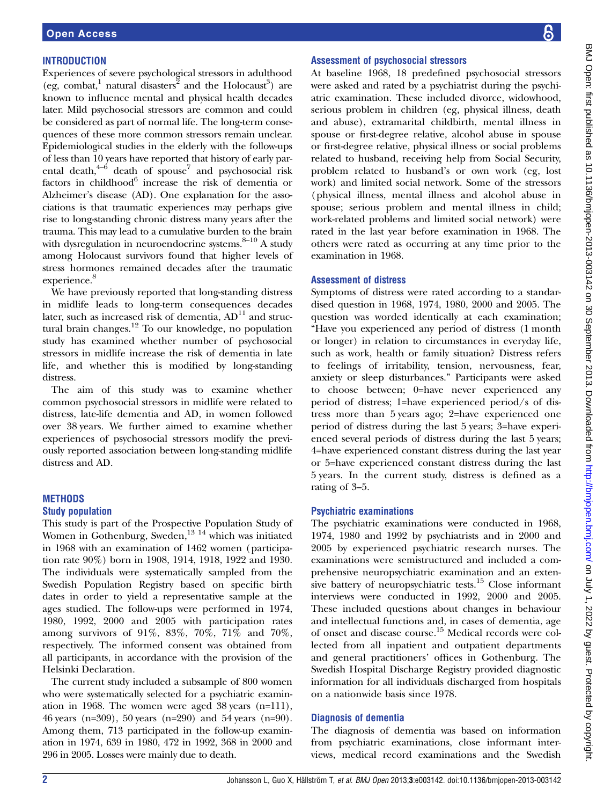### **INTRODUCTION**

Experiences of severe psychological stressors in adulthood (eg, combat,<sup>1</sup> natural disasters<sup>2</sup> and the Holocaust<sup>3</sup>) are known to influence mental and physical health decades later. Mild psychosocial stressors are common and could be considered as part of normal life. The long-term consequences of these more common stressors remain unclear. Epidemiological studies in the elderly with the follow-ups of less than 10 years have reported that history of early parental death, $4-6$  death of spouse<sup>7</sup> and psychosocial risk factors in childhood $6$  increase the risk of dementia or Alzheimer's disease (AD). One explanation for the associations is that traumatic experiences may perhaps give rise to long-standing chronic distress many years after the trauma. This may lead to a cumulative burden to the brain with dysregulation in neuroendocrine systems. $8-10$  A study among Holocaust survivors found that higher levels of stress hormones remained decades after the traumatic experience.<sup>8</sup>

We have previously reported that long-standing distress in midlife leads to long-term consequences decades later, such as increased risk of dementia,  $AD<sup>11</sup>$  and structural brain changes. $^{12}$  To our knowledge, no population study has examined whether number of psychosocial stressors in midlife increase the risk of dementia in late life, and whether this is modified by long-standing distress.

The aim of this study was to examine whether common psychosocial stressors in midlife were related to distress, late-life dementia and AD, in women followed over 38 years. We further aimed to examine whether experiences of psychosocial stressors modify the previously reported association between long-standing midlife distress and AD.

# **METHODS**

#### Study population

This study is part of the Prospective Population Study of Women in Gothenburg, Sweden,<sup>13 14</sup> which was initiated in 1968 with an examination of 1462 women (participation rate 90%) born in 1908, 1914, 1918, 1922 and 1930. The individuals were systematically sampled from the Swedish Population Registry based on specific birth dates in order to yield a representative sample at the ages studied. The follow-ups were performed in 1974, 1980, 1992, 2000 and 2005 with participation rates among survivors of 91%, 83%, 70%, 71% and 70%, respectively. The informed consent was obtained from all participants, in accordance with the provision of the Helsinki Declaration.

The current study included a subsample of 800 women who were systematically selected for a psychiatric examination in 1968. The women were aged 38 years (n=111), 46 years (n=309), 50 years (n=290) and 54 years (n=90). Among them, 713 participated in the follow-up examination in 1974, 639 in 1980, 472 in 1992, 368 in 2000 and 296 in 2005. Losses were mainly due to death.

#### Assessment of psychosocial stressors

At baseline 1968, 18 predefined psychosocial stressors were asked and rated by a psychiatrist during the psychiatric examination. These included divorce, widowhood, serious problem in children (eg, physical illness, death and abuse), extramarital childbirth, mental illness in spouse or first-degree relative, alcohol abuse in spouse or first-degree relative, physical illness or social problems related to husband, receiving help from Social Security, problem related to husband's or own work (eg, lost work) and limited social network. Some of the stressors (physical illness, mental illness and alcohol abuse in spouse; serious problem and mental illness in child; work-related problems and limited social network) were rated in the last year before examination in 1968. The others were rated as occurring at any time prior to the examination in 1968.

#### Assessment of distress

Symptoms of distress were rated according to a standardised question in 1968, 1974, 1980, 2000 and 2005. The question was worded identically at each examination; "Have you experienced any period of distress (1 month or longer) in relation to circumstances in everyday life, such as work, health or family situation? Distress refers to feelings of irritability, tension, nervousness, fear, anxiety or sleep disturbances." Participants were asked to choose between; 0=have never experienced any period of distress; 1=have experienced period/s of distress more than 5 years ago; 2=have experienced one period of distress during the last 5 years; 3=have experienced several periods of distress during the last 5 years; 4=have experienced constant distress during the last year or 5=have experienced constant distress during the last 5 years. In the current study, distress is defined as a rating of 3–5.

#### Psychiatric examinations

The psychiatric examinations were conducted in 1968, 1974, 1980 and 1992 by psychiatrists and in 2000 and 2005 by experienced psychiatric research nurses. The examinations were semistructured and included a comprehensive neuropsychiatric examination and an extensive battery of neuropsychiatric tests.<sup>15</sup> Close informant interviews were conducted in 1992, 2000 and 2005. These included questions about changes in behaviour and intellectual functions and, in cases of dementia, age of onset and disease course.15 Medical records were collected from all inpatient and outpatient departments and general practitioners' offices in Gothenburg. The Swedish Hospital Discharge Registry provided diagnostic information for all individuals discharged from hospitals on a nationwide basis since 1978.

#### Diagnosis of dementia

The diagnosis of dementia was based on information from psychiatric examinations, close informant interviews, medical record examinations and the Swedish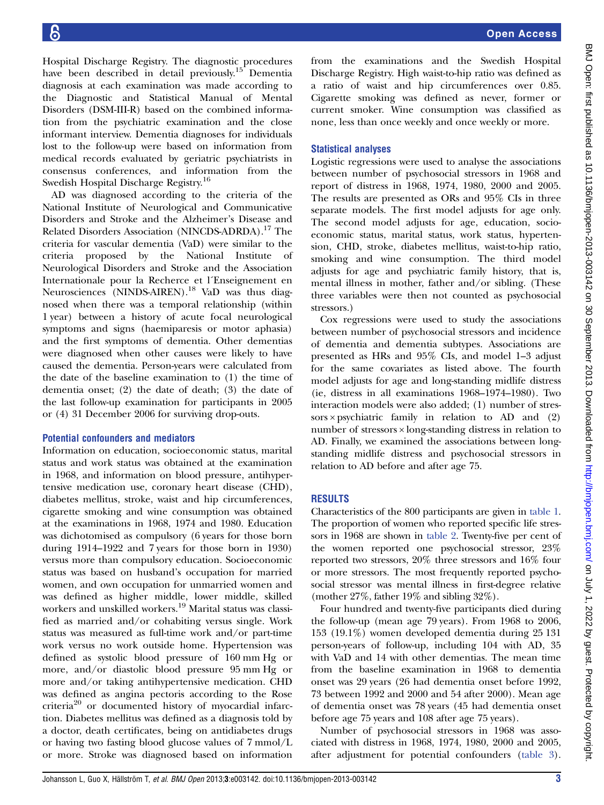Hospital Discharge Registry. The diagnostic procedures have been described in detail previously.<sup>15</sup> Dementia diagnosis at each examination was made according to the Diagnostic and Statistical Manual of Mental Disorders (DSM-III-R) based on the combined information from the psychiatric examination and the close informant interview. Dementia diagnoses for individuals lost to the follow-up were based on information from medical records evaluated by geriatric psychiatrists in consensus conferences, and information from the Swedish Hospital Discharge Registry.<sup>16</sup>

AD was diagnosed according to the criteria of the National Institute of Neurological and Communicative Disorders and Stroke and the Alzheimer's Disease and Related Disorders Association (NINCDS-ADRDA).17 The criteria for vascular dementia (VaD) were similar to the criteria proposed by the National Institute of Neurological Disorders and Stroke and the Association Internationale pour la Recherce et l´Enseignement en Neurosciences (NINDS-AIREN).<sup>18</sup> VaD was thus diagnosed when there was a temporal relationship (within 1 year) between a history of acute focal neurological symptoms and signs (haemiparesis or motor aphasia) and the first symptoms of dementia. Other dementias were diagnosed when other causes were likely to have caused the dementia. Person-years were calculated from the date of the baseline examination to (1) the time of dementia onset; (2) the date of death; (3) the date of the last follow-up examination for participants in 2005 or (4) 31 December 2006 for surviving drop-outs.

#### Potential confounders and mediators

Information on education, socioeconomic status, marital status and work status was obtained at the examination in 1968, and information on blood pressure, antihypertensive medication use, coronary heart disease (CHD), diabetes mellitus, stroke, waist and hip circumferences, cigarette smoking and wine consumption was obtained at the examinations in 1968, 1974 and 1980. Education was dichotomised as compulsory (6 years for those born during 1914–1922 and 7 years for those born in 1930) versus more than compulsory education. Socioeconomic status was based on husband's occupation for married women, and own occupation for unmarried women and was defined as higher middle, lower middle, skilled workers and unskilled workers.<sup>19</sup> Marital status was classified as married and/or cohabiting versus single. Work status was measured as full-time work and/or part-time work versus no work outside home. Hypertension was defined as systolic blood pressure of 160 mm Hg or more, and/or diastolic blood pressure 95 mm Hg or more and/or taking antihypertensive medication. CHD was defined as angina pectoris according to the Rose criteria<sup>20</sup> or documented history of myocardial infarction. Diabetes mellitus was defined as a diagnosis told by a doctor, death certificates, being on antidiabetes drugs or having two fasting blood glucose values of 7 mmol/L or more. Stroke was diagnosed based on information

from the examinations and the Swedish Hospital Discharge Registry. High waist-to-hip ratio was defined as a ratio of waist and hip circumferences over 0.85. Cigarette smoking was defined as never, former or current smoker. Wine consumption was classified as none, less than once weekly and once weekly or more.

#### Statistical analyses

Logistic regressions were used to analyse the associations between number of psychosocial stressors in 1968 and report of distress in 1968, 1974, 1980, 2000 and 2005. The results are presented as ORs and 95% CIs in three separate models. The first model adjusts for age only. The second model adjusts for age, education, socioeconomic status, marital status, work status, hypertension, CHD, stroke, diabetes mellitus, waist-to-hip ratio, smoking and wine consumption. The third model adjusts for age and psychiatric family history, that is, mental illness in mother, father and/or sibling. (These three variables were then not counted as psychosocial stressors.)

Cox regressions were used to study the associations between number of psychosocial stressors and incidence of dementia and dementia subtypes. Associations are presented as HRs and 95% CIs, and model 1–3 adjust for the same covariates as listed above. The fourth model adjusts for age and long-standing midlife distress (ie, distress in all examinations 1968–1974–1980). Two interaction models were also added; (1) number of stressors  $\times$  psychiatric family in relation to AD and (2) number of stressors × long-standing distress in relation to AD. Finally, we examined the associations between longstanding midlife distress and psychosocial stressors in relation to AD before and after age 75.

#### RESULTS

Characteristics of the 800 participants are given in table 1. The proportion of women who reported specific life stressors in 1968 are shown in table 2. Twenty-five per cent of the women reported one psychosocial stressor, 23% reported two stressors, 20% three stressors and 16% four or more stressors. The most frequently reported psychosocial stressor was mental illness in first-degree relative (mother 27%, father 19% and sibling 32%).

Four hundred and twenty-five participants died during the follow-up (mean age 79 years). From 1968 to 2006, 153 (19.1%) women developed dementia during 25 131 person-years of follow-up, including 104 with AD, 35 with VaD and 14 with other dementias. The mean time from the baseline examination in 1968 to dementia onset was 29 years (26 had dementia onset before 1992, 73 between 1992 and 2000 and 54 after 2000). Mean age of dementia onset was 78 years (45 had dementia onset before age 75 years and 108 after age 75 years).

Number of psychosocial stressors in 1968 was associated with distress in 1968, 1974, 1980, 2000 and 2005, after adjustment for potential confounders (table 3).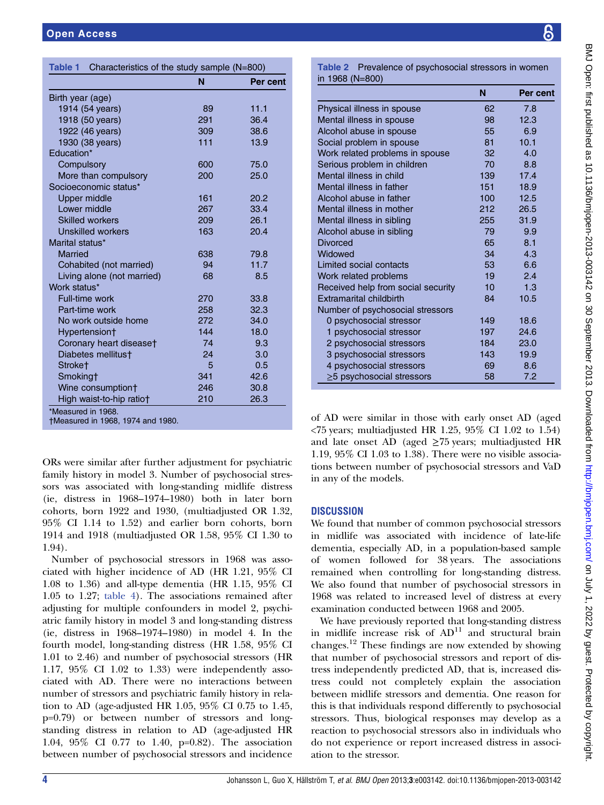|                            | N   | Per cent |
|----------------------------|-----|----------|
| Birth year (age)           |     |          |
| 1914 (54 years)            | 89  | 11.1     |
| 1918 (50 years)            | 291 | 36.4     |
| 1922 (46 years)            | 309 | 38.6     |
| 1930 (38 years)            | 111 | 13.9     |
| Education*                 |     |          |
| Compulsory                 | 600 | 75.0     |
| More than compulsory       | 200 | 25.0     |
| Socioeconomic status*      |     |          |
| <b>Upper middle</b>        | 161 | 20.2     |
| Lower middle               | 267 | 33.4     |
| <b>Skilled workers</b>     | 209 | 26.1     |
| <b>Unskilled workers</b>   | 163 | 20.4     |
| Marital status*            |     |          |
| Married                    | 638 | 79.8     |
| Cohabited (not married)    | 94  | 11.7     |
| Living alone (not married) | 68  | 8.5      |
| Work status*               |     |          |
| Full-time work             | 270 | 33.8     |
| Part-time work             | 258 | 32.3     |
| No work outside home       | 272 | 34.0     |
| Hypertension†              | 144 | 18.0     |
| Coronary heart disease†    | 74  | 9.3      |
| Diabetes mellitus†         | 24  | 3.0      |
| Stroke <sup>+</sup>        | 5   | 0.5      |
| Smoking†                   | 341 | 42.6     |
| Wine consumption†          | 246 | 30.8     |
| High waist-to-hip ratio†   | 210 | 26.3     |

ORs were similar after further adjustment for psychiatric family history in model 3. Number of psychosocial stressors was associated with long-standing midlife distress (ie, distress in 1968–1974–1980) both in later born cohorts, born 1922 and 1930, (multiadjusted OR 1.32, 95% CI 1.14 to 1.52) and earlier born cohorts, born 1914 and 1918 (multiadjusted OR 1.58, 95% CI 1.30 to 1.94).

Number of psychosocial stressors in 1968 was associated with higher incidence of AD (HR 1.21, 95% CI 1.08 to 1.36) and all-type dementia (HR 1.15, 95% CI 1.05 to 1.27; table 4). The associations remained after adjusting for multiple confounders in model 2, psychiatric family history in model 3 and long-standing distress (ie, distress in 1968–1974–1980) in model 4. In the fourth model, long-standing distress (HR 1.58, 95% CI 1.01 to 2.46) and number of psychosocial stressors (HR 1.17, 95% CI 1.02 to 1.33) were independently associated with AD. There were no interactions between number of stressors and psychiatric family history in relation to AD (age-adjusted HR 1.05, 95% CI 0.75 to 1.45, p=0.79) or between number of stressors and longstanding distress in relation to AD (age-adjusted HR 1.04, 95% CI 0.77 to 1.40, p=0.82). The association between number of psychosocial stressors and incidence

|                                    | N   | Per cent |
|------------------------------------|-----|----------|
| Physical illness in spouse         | 62  | 7.8      |
| Mental illness in spouse           | 98  | 12.3     |
| Alcohol abuse in spouse            | 55  | 6.9      |
| Social problem in spouse           | 81  | 10.1     |
| Work related problems in spouse    | 32  | 4.0      |
| Serious problem in children        | 70  | 8.8      |
| Mental illness in child            | 139 | 17.4     |
| Mental illness in father           | 151 | 18.9     |
| Alcohol abuse in father            | 100 | 12.5     |
| Mental illness in mother           | 212 | 26.5     |
| Mental illness in sibling          | 255 | 31.9     |
| Alcohol abuse in sibling           | 79  | 9.9      |
| <b>Divorced</b>                    | 65  | 8.1      |
| Widowed                            | 34  | 4.3      |
| I imited social contacts           | 53  | 6.6      |
| Work related problems              | 19  | 2.4      |
| Received help from social security | 10  | 1.3      |
| Extramarital childbirth            | 84  | 10.5     |
| Number of psychosocial stressors   |     |          |
| 0 psychosocial stressor            | 149 | 18.6     |
| 1 psychosocial stressor            | 197 | 24.6     |
| 2 psychosocial stressors           | 184 | 23.0     |
| 3 psychosocial stressors           | 143 | 19.9     |
| 4 psychosocial stressors           | 69  | 8.6      |
| $\geq$ 5 psychosocial stressors    | 58  | 7.2      |

of AD were similar in those with early onset AD (aged  $\langle 75 \rangle$  years; multiadjusted HR 1.25, 95% CI 1.02 to 1.54) and late onset AD (aged  $\geq$ 75 years; multiadjusted HR 1.19, 95% CI 1.03 to 1.38). There were no visible associations between number of psychosocial stressors and VaD in any of the models.

# **DISCUSSION**

We found that number of common psychosocial stressors in midlife was associated with incidence of late-life dementia, especially AD, in a population-based sample of women followed for 38 years. The associations remained when controlling for long-standing distress. We also found that number of psychosocial stressors in 1968 was related to increased level of distress at every examination conducted between 1968 and 2005.

We have previously reported that long-standing distress in midlife increase risk of  $AD<sup>11</sup>$  and structural brain changes.<sup>12</sup> These findings are now extended by showing that number of psychosocial stressors and report of distress independently predicted AD, that is, increased distress could not completely explain the association between midlife stressors and dementia. One reason for this is that individuals respond differently to psychosocial stressors. Thus, biological responses may develop as a reaction to psychosocial stressors also in individuals who do not experience or report increased distress in association to the stressor.

၆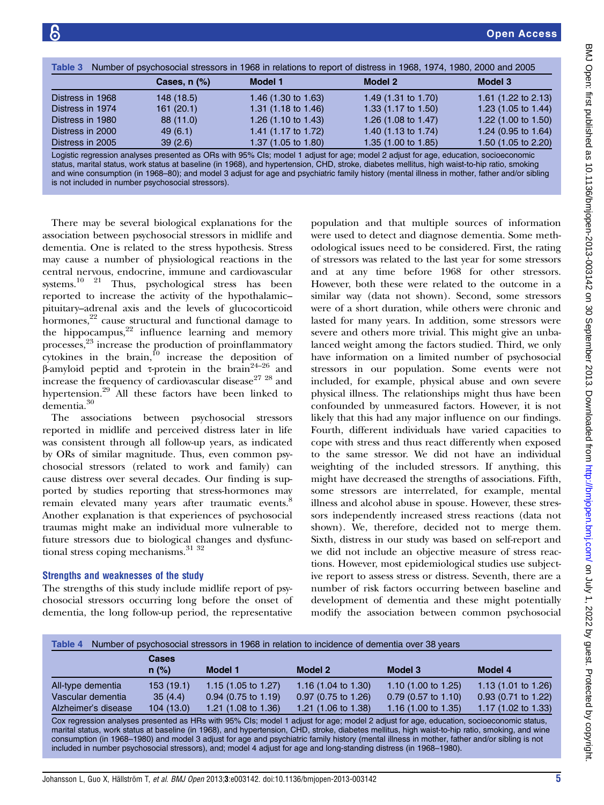| Number of psychosocial stressors in 1968 in relations to report of distress in 1968, 1974, 1980, 2000 and 2005<br>Table 3 |                |                                |                                |                                |  |  |
|---------------------------------------------------------------------------------------------------------------------------|----------------|--------------------------------|--------------------------------|--------------------------------|--|--|
|                                                                                                                           | Cases, $n$ $%$ | Model 1                        | Model 2                        | Model 3                        |  |  |
| Distress in 1968                                                                                                          | 148 (18.5)     | 1.46 $(1.30 \text{ to } 1.63)$ | 1.49 $(1.31 \text{ to } 1.70)$ | 1.61 $(1.22 \text{ to } 2.13)$ |  |  |
| Distress in 1974                                                                                                          | 161(20.1)      | 1.31 $(1.18 \text{ to } 1.46)$ | 1.33 $(1.17 \text{ to } 1.50)$ | 1.23 $(1.05 \text{ to } 1.44)$ |  |  |
| Distress in 1980                                                                                                          | 88 (11.0)      | 1.26 (1.10 to 1.43)            | 1.26 $(1.08 \text{ to } 1.47)$ | 1.22 $(1.00 \text{ to } 1.50)$ |  |  |
| Distress in 2000                                                                                                          | 49(6.1)        | 1.41 (1.17 to 1.72)            | 1.40 $(1.13 \text{ to } 1.74)$ | 1.24 (0.95 to 1.64)            |  |  |
| Distress in 2005                                                                                                          | 39(2.6)        | 1.37 (1.05 to 1.80)            | 1.35 (1.00 to 1.85)            | 1.50 (1.05 to 2.20)            |  |  |

Logistic regression analyses presented as ORs with 95% CIs; model 1 adjust for age; model 2 adjust for age, education, socioeconomic status, marital status, work status at baseline (in 1968), and hypertension, CHD, stroke, diabetes mellitus, high waist-to-hip ratio, smoking and wine consumption (in 1968–80); and model 3 adjust for age and psychiatric family history (mental illness in mother, father and/or sibling is not included in number psychosocial stressors).

There may be several biological explanations for the association between psychosocial stressors in midlife and dementia. One is related to the stress hypothesis. Stress may cause a number of physiological reactions in the central nervous, endocrine, immune and cardiovascular systems.10 21 Thus, psychological stress has been reported to increase the activity of the hypothalamic– pituitary–adrenal axis and the levels of glucocorticoid hormones, $22$  cause structural and functional damage to the hippocampus, $22$  influence learning and memory processes,<sup>23</sup> increase the production of proinflammatory cytokines in the brain, $10$  increase the deposition of β-amyloid peptid and τ-protein in the brain<sup>24–26</sup> and increase the frequency of cardiovascular disease $^{27}$   $^{28}$  and hypertension.<sup>29</sup> All these factors have been linked to dementia.<sup>30</sup>

The associations between psychosocial stressors reported in midlife and perceived distress later in life was consistent through all follow-up years, as indicated by ORs of similar magnitude. Thus, even common psychosocial stressors (related to work and family) can cause distress over several decades. Our finding is supported by studies reporting that stress-hormones may remain elevated many years after traumatic events.<sup>8</sup> Another explanation is that experiences of psychosocial traumas might make an individual more vulnerable to future stressors due to biological changes and dysfunctional stress coping mechanisms.<sup>31</sup> <sup>32</sup>

# Strengths and weaknesses of the study

The strengths of this study include midlife report of psychosocial stressors occurring long before the onset of dementia, the long follow-up period, the representative

population and that multiple sources of information were used to detect and diagnose dementia. Some methodological issues need to be considered. First, the rating of stressors was related to the last year for some stressors and at any time before 1968 for other stressors. However, both these were related to the outcome in a similar way (data not shown). Second, some stressors were of a short duration, while others were chronic and lasted for many years. In addition, some stressors were severe and others more trivial. This might give an unbalanced weight among the factors studied. Third, we only have information on a limited number of psychosocial stressors in our population. Some events were not included, for example, physical abuse and own severe physical illness. The relationships might thus have been confounded by unmeasured factors. However, it is not likely that this had any major influence on our findings. Fourth, different individuals have varied capacities to cope with stress and thus react differently when exposed to the same stressor. We did not have an individual weighting of the included stressors. If anything, this might have decreased the strengths of associations. Fifth, some stressors are interrelated, for example, mental illness and alcohol abuse in spouse. However, these stressors independently increased stress reactions (data not shown). We, therefore, decided not to merge them. Sixth, distress in our study was based on self-report and we did not include an objective measure of stress reactions. However, most epidemiological studies use subjective report to assess stress or distress. Seventh, there are a number of risk factors occurring between baseline and development of dementia and these might potentially modify the association between common psychosocial

| Number of psychosocial stressors in 1968 in relation to incidence of dementia over 38 years<br>Table 4 |                  |                                |                                |                                |                                |  |
|--------------------------------------------------------------------------------------------------------|------------------|--------------------------------|--------------------------------|--------------------------------|--------------------------------|--|
|                                                                                                        | Cases<br>$n$ (%) | Model 1                        | Model 2                        | Model 3                        | Model 4                        |  |
| All-type dementia                                                                                      | 153(19.1)        | 1.15 $(1.05 \text{ to } 1.27)$ | 1.16 $(1.04 \text{ to } 1.30)$ | 1.10 $(1.00 \text{ to } 1.25)$ | 1.13 $(1.01 \text{ to } 1.26)$ |  |
| Vascular dementia                                                                                      | 35(4.4)          | $0.94$ (0.75 to 1.19)          | $0.97$ (0.75 to 1.26)          | $0.79$ (0.57 to 1.10)          | $0.93$ (0.71 to 1.22)          |  |
| Alzheimer's disease                                                                                    | 104 (13.0)       | 1.21 $(1.08 \text{ to } 1.36)$ | 1.21 $(1.06 \text{ to } 1.38)$ | 1.16 $(1.00 \text{ to } 1.35)$ | 1.17 $(1.02 \text{ to } 1.33)$ |  |

Cox regression analyses presented as HRs with 95% CIs; model 1 adjust for age; model 2 adjust for age, education, socioeconomic status, marital status, work status at baseline (in 1968), and hypertension, CHD, stroke, diabetes mellitus, high waist-to-hip ratio, smoking, and wine consumption (in 1968–1980) and model 3 adjust for age and psychiatric family history (mental illness in mother, father and/or sibling is not included in number psychosocial stressors), and; model 4 adjust for age and long-standing distress (in 1968–1980).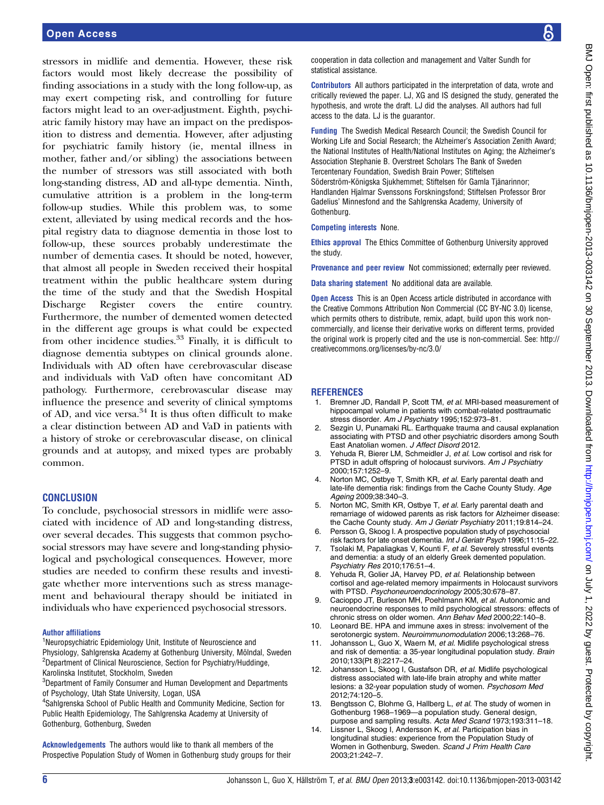stressors in midlife and dementia. However, these risk factors would most likely decrease the possibility of finding associations in a study with the long follow-up, as may exert competing risk, and controlling for future factors might lead to an over-adjustment. Eighth, psychiatric family history may have an impact on the predisposition to distress and dementia. However, after adjusting for psychiatric family history (ie, mental illness in mother, father and/or sibling) the associations between the number of stressors was still associated with both long-standing distress, AD and all-type dementia. Ninth, cumulative attrition is a problem in the long-term follow-up studies. While this problem was, to some extent, alleviated by using medical records and the hospital registry data to diagnose dementia in those lost to follow-up, these sources probably underestimate the number of dementia cases. It should be noted, however, that almost all people in Sweden received their hospital treatment within the public healthcare system during the time of the study and that the Swedish Hospital Discharge Register covers the entire country. Furthermore, the number of demented women detected in the different age groups is what could be expected from other incidence studies.<sup>33</sup> Finally, it is difficult to diagnose dementia subtypes on clinical grounds alone. Individuals with AD often have cerebrovascular disease and individuals with VaD often have concomitant AD pathology. Furthermore, cerebrovascular disease may influence the presence and severity of clinical symptoms of AD, and vice versa.<sup>34</sup> It is thus often difficult to make a clear distinction between AD and VaD in patients with a history of stroke or cerebrovascular disease, on clinical grounds and at autopsy, and mixed types are probably common.

#### **CONCLUSION**

To conclude, psychosocial stressors in midlife were associated with incidence of AD and long-standing distress, over several decades. This suggests that common psychosocial stressors may have severe and long-standing physiological and psychological consequences. However, more studies are needed to confirm these results and investigate whether more interventions such as stress management and behavioural therapy should be initiated in individuals who have experienced psychosocial stressors.

#### Author affiliations

<sup>1</sup>Neuropsychiatric Epidemiology Unit, Institute of Neuroscience and Physiology, Sahlgrenska Academy at Gothenburg University, Mölndal, Sweden <sup>2</sup>Department of Clinical Neuroscience, Section for Psychiatry/Huddinge, Karolinska Institutet, Stockholm, Sweden

<sup>3</sup>Department of Family Consumer and Human Development and Departments of Psychology, Utah State University, Logan, USA

4 Sahlgrenska School of Public Health and Community Medicine, Section for Public Health Epidemiology, The Sahlgrenska Academy at University of Gothenburg, Gothenburg, Sweden

Acknowledgements The authors would like to thank all members of the Prospective Population Study of Women in Gothenburg study groups for their cooperation in data collection and management and Valter Sundh for statistical assistance.

Contributors All authors participated in the interpretation of data, wrote and critically reviewed the paper. LJ, XG and IS designed the study, generated the hypothesis, and wrote the draft. LJ did the analyses. All authors had full access to the data. LJ is the guarantor.

Funding The Swedish Medical Research Council; the Swedish Council for Working Life and Social Research; the Alzheimer's Association Zenith Award; the National Institutes of Health/National Institutes on Aging; the Alzheimer's Association Stephanie B. Overstreet Scholars The Bank of Sweden Tercentenary Foundation, Swedish Brain Power; Stiftelsen Söderström-Königska Sjukhemmet; Stiftelsen för Gamla Tjänarinnor; Handlanden Hjalmar Svenssons Forskningsfond; Stiftelsen Professor Bror Gadelius' Minnesfond and the Sahlgrenska Academy, University of Gothenburg.

#### Competing interests None.

Ethics approval The Ethics Committee of Gothenburg University approved the study.

Provenance and peer review Not commissioned; externally peer reviewed.

Data sharing statement No additional data are available.

**Open Access** This is an Open Access article distributed in accordance with the Creative Commons Attribution Non Commercial (CC BY-NC 3.0) license, which permits others to distribute, remix, adapt, build upon this work noncommercially, and license their derivative works on different terms, provided the original work is properly cited and the use is non-commercial. See: [http://](http://creativecommons.org/licenses/by-nc/3.0/) [creativecommons.org/licenses/by-nc/3.0/](http://creativecommons.org/licenses/by-nc/3.0/)

#### **REFERENCES**

- 1. Bremner JD, Randall P, Scott TM, et al. MRI-based measurement of hippocampal volume in patients with combat-related posttraumatic stress disorder. Am J Psychiatry 1995;152:973–81.
- 2. Sezgin U, Punamaki RL. Earthquake trauma and causal explanation associating with PTSD and other psychiatric disorders among South East Anatolian women. J Affect Disord 2012.
- Yehuda R, Bierer LM, Schmeidler J, et al. Low cortisol and risk for PTSD in adult offspring of holocaust survivors. Am J Psychiatry 2000;157:1252–9.
- 4. Norton MC, Ostbye T, Smith KR, et al. Early parental death and late-life dementia risk: findings from the Cache County Study. Age Ageing 2009;38:340–3.
- 5. Norton MC, Smith KR, Ostbye T, et al. Early parental death and remarriage of widowed parents as risk factors for Alzheimer disease: the Cache County study. Am J Geriatr Psychiatry 2011;19:814–24.
- Persson G, Skoog I. A prospective population study of psychosocial risk factors for late onset dementia. Int J Geriatr Psych 1996;11:15–22.
- 7. Tsolaki M, Papaliagkas V, Kounti F, et al. Severely stressful events and dementia: a study of an elderly Greek demented population. Psychiatry Res 2010;176:51–4.
- 8. Yehuda R, Golier JA, Harvey PD, et al. Relationship between cortisol and age-related memory impairments in Holocaust survivors with PTSD. Psychoneuroendocrinology 2005;30:678–87.
- 9. Cacioppo JT, Burleson MH, Poehlmann KM, et al. Autonomic and neuroendocrine responses to mild psychological stressors: effects of chronic stress on older women. Ann Behav Med 2000;22:140–8.
- 10. Leonard BE. HPA and immune axes in stress: involvement of the serotonergic system. Neuroimmunomodulation 2006;13:268–76.
- 11. Johansson L, Guo X, Waern M, et al. Midlife psychological stress and risk of dementia: a 35-year longitudinal population study. Brain 2010;133(Pt 8):2217–24.
- 12. Johansson L, Skoog I, Gustafson DR, et al. Midlife psychological distress associated with late-life brain atrophy and white matter lesions: a 32-year population study of women. Psychosom Med 2012;74:120–5.
- 13. Bengtsson C, Blohme G, Hallberg L, et al. The study of women in Gothenburg 1968–1969—a population study. General design, purpose and sampling results. Acta Med Scand 1973;193:311–18.
- 14. Lissner L, Skoog I, Andersson K, et al. Participation bias in longitudinal studies: experience from the Population Study of Women in Gothenburg, Sweden. Scand J Prim Health Care 2003;21:242–7.